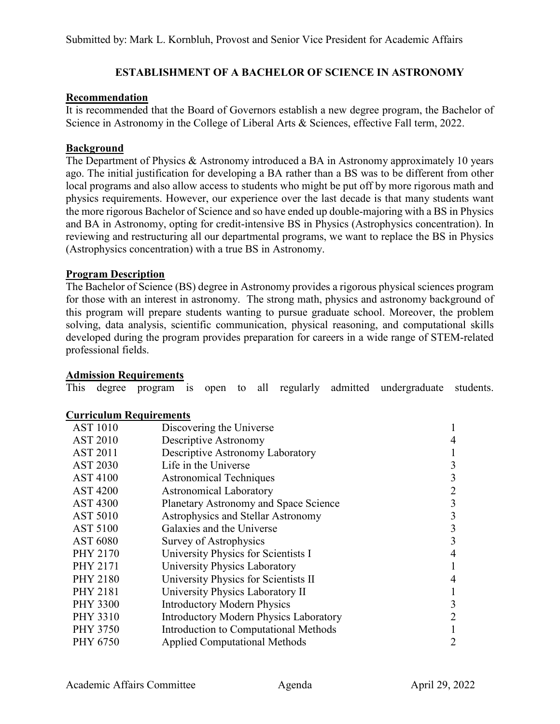# **ESTABLISHMENT OF A BACHELOR OF SCIENCE IN ASTRONOMY**

# **Recommendation**

It is recommended that the Board of Governors establish a new degree program, the Bachelor of Science in Astronomy in the College of Liberal Arts & Sciences, effective Fall term, 2022.

## **Background**

The Department of Physics & Astronomy introduced a BA in Astronomy approximately 10 years ago. The initial justification for developing a BA rather than a BS was to be different from other local programs and also allow access to students who might be put off by more rigorous math and physics requirements. However, our experience over the last decade is that many students want the more rigorous Bachelor of Science and so have ended up double-majoring with a BS in Physics and BA in Astronomy, opting for credit-intensive BS in Physics (Astrophysics concentration). In reviewing and restructuring all our departmental programs, we want to replace the BS in Physics (Astrophysics concentration) with a true BS in Astronomy.

## **Program Description**

The Bachelor of Science (BS) degree in Astronomy provides a rigorous physical sciences program for those with an interest in astronomy. The strong math, physics and astronomy background of this program will prepare students wanting to pursue graduate school. Moreover, the problem solving, data analysis, scientific communication, physical reasoning, and computational skills developed during the program provides preparation for careers in a wide range of STEM-related professional fields.

## **Admission Requirements**

This degree program is open to all regularly admitted undergraduate students.

## **Curriculum Requirements**

| <b>AST 1010</b> | Discovering the Universe                      |   |
|-----------------|-----------------------------------------------|---|
| <b>AST 2010</b> | Descriptive Astronomy                         | 4 |
| <b>AST 2011</b> | Descriptive Astronomy Laboratory              |   |
| <b>AST 2030</b> | Life in the Universe                          | 3 |
| <b>AST 4100</b> | <b>Astronomical Techniques</b>                | 3 |
| <b>AST 4200</b> | <b>Astronomical Laboratory</b>                |   |
| <b>AST 4300</b> | <b>Planetary Astronomy and Space Science</b>  | 3 |
| <b>AST 5010</b> | Astrophysics and Stellar Astronomy            | 3 |
| <b>AST 5100</b> | Galaxies and the Universe                     | 3 |
| <b>AST 6080</b> | Survey of Astrophysics                        | 3 |
| <b>PHY 2170</b> | University Physics for Scientists I           | 4 |
| <b>PHY 2171</b> | University Physics Laboratory                 |   |
| <b>PHY 2180</b> | University Physics for Scientists II          | 4 |
| <b>PHY 2181</b> | University Physics Laboratory II              |   |
| <b>PHY 3300</b> | <b>Introductory Modern Physics</b>            | 3 |
| <b>PHY 3310</b> | <b>Introductory Modern Physics Laboratory</b> |   |
| <b>PHY 3750</b> | Introduction to Computational Methods         |   |
| PHY 6750        | <b>Applied Computational Methods</b>          |   |